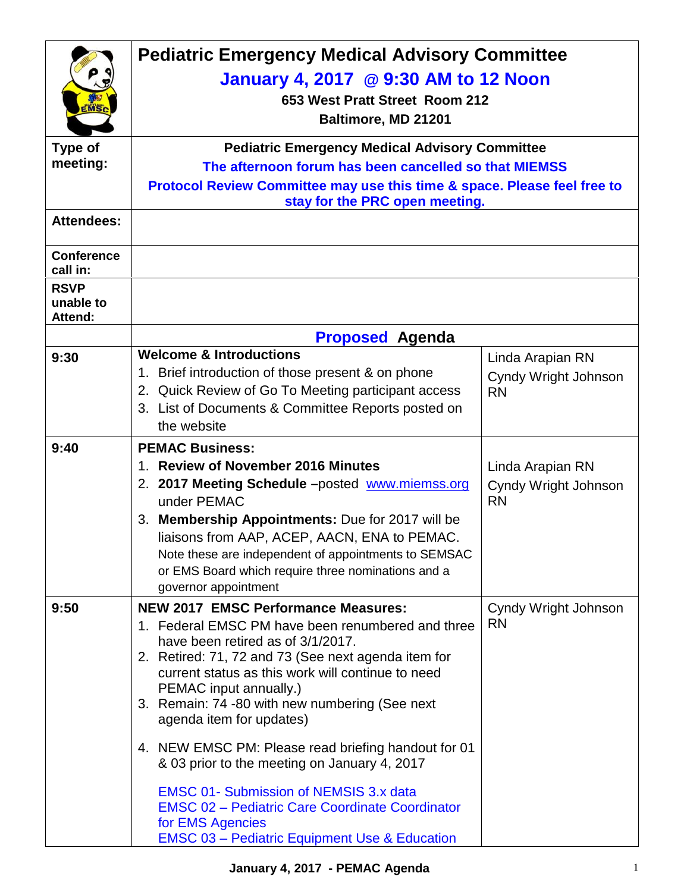|                                            | <b>Pediatric Emergency Medical Advisory Committee</b><br>January 4, 2017 @ 9:30 AM to 12 Noon<br>653 West Pratt Street Room 212<br>Baltimore, MD 21201<br><b>Pediatric Emergency Medical Advisory Committee</b><br>The afternoon forum has been cancelled so that MIEMSS<br>Protocol Review Committee may use this time & space. Please feel free to<br>stay for the PRC open meeting.                                                                                                                                                                                                         |                                                       |  |
|--------------------------------------------|------------------------------------------------------------------------------------------------------------------------------------------------------------------------------------------------------------------------------------------------------------------------------------------------------------------------------------------------------------------------------------------------------------------------------------------------------------------------------------------------------------------------------------------------------------------------------------------------|-------------------------------------------------------|--|
| Type of<br>meeting:                        |                                                                                                                                                                                                                                                                                                                                                                                                                                                                                                                                                                                                |                                                       |  |
| <b>Attendees:</b>                          |                                                                                                                                                                                                                                                                                                                                                                                                                                                                                                                                                                                                |                                                       |  |
| <b>Conference</b><br>call in:              |                                                                                                                                                                                                                                                                                                                                                                                                                                                                                                                                                                                                |                                                       |  |
| <b>RSVP</b><br>unable to<br><b>Attend:</b> |                                                                                                                                                                                                                                                                                                                                                                                                                                                                                                                                                                                                |                                                       |  |
|                                            | <b>Proposed Agenda</b>                                                                                                                                                                                                                                                                                                                                                                                                                                                                                                                                                                         |                                                       |  |
| 9:30                                       | <b>Welcome &amp; Introductions</b><br>1. Brief introduction of those present & on phone<br>2. Quick Review of Go To Meeting participant access<br>3. List of Documents & Committee Reports posted on<br>the website                                                                                                                                                                                                                                                                                                                                                                            | Linda Arapian RN<br>Cyndy Wright Johnson<br><b>RN</b> |  |
| 9:40                                       | <b>PEMAC Business:</b><br>1. Review of November 2016 Minutes<br>2. 2017 Meeting Schedule -posted www.miemss.org<br>under PEMAC<br>3. Membership Appointments: Due for 2017 will be<br>liaisons from AAP, ACEP, AACN, ENA to PEMAC.<br>Note these are independent of appointments to SEMSAC<br>or EMS Board which require three nominations and a<br>governor appointment                                                                                                                                                                                                                       | Linda Arapian RN<br>Cyndy Wright Johnson<br><b>RN</b> |  |
| 9:50                                       | <b>NEW 2017 EMSC Performance Measures:</b><br>1. Federal EMSC PM have been renumbered and three<br>have been retired as of 3/1/2017.<br>2. Retired: 71, 72 and 73 (See next agenda item for<br>current status as this work will continue to need<br>PEMAC input annually.)<br>3. Remain: 74 -80 with new numbering (See next<br>agenda item for updates)<br>4. NEW EMSC PM: Please read briefing handout for 01<br>& 03 prior to the meeting on January 4, 2017<br><b>EMSC 01- Submission of NEMSIS 3.x data</b><br><b>EMSC 02 - Pediatric Care Coordinate Coordinator</b><br>for EMS Agencies | Cyndy Wright Johnson<br><b>RN</b>                     |  |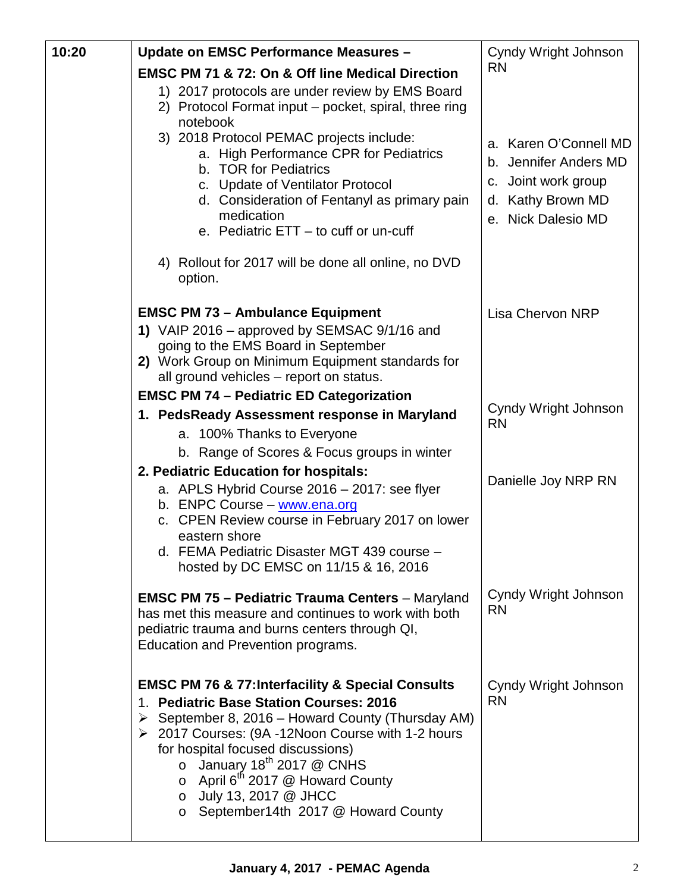| 10:20 | Update on EMSC Performance Measures -                                                                                                                                                                                                                                                                                                                                                                                                                | Cyndy Wright Johnson                                                                                             |
|-------|------------------------------------------------------------------------------------------------------------------------------------------------------------------------------------------------------------------------------------------------------------------------------------------------------------------------------------------------------------------------------------------------------------------------------------------------------|------------------------------------------------------------------------------------------------------------------|
|       | <b>EMSC PM 71 &amp; 72: On &amp; Off line Medical Direction</b>                                                                                                                                                                                                                                                                                                                                                                                      | <b>RN</b>                                                                                                        |
|       | 1) 2017 protocols are under review by EMS Board<br>2) Protocol Format input - pocket, spiral, three ring<br>notebook                                                                                                                                                                                                                                                                                                                                 |                                                                                                                  |
|       | 3) 2018 Protocol PEMAC projects include:<br>a. High Performance CPR for Pediatrics<br>b. TOR for Pediatrics<br>c. Update of Ventilator Protocol<br>d. Consideration of Fentanyl as primary pain<br>medication<br>e. Pediatric ETT - to cuff or un-cuff                                                                                                                                                                                               | a. Karen O'Connell MD<br>b. Jennifer Anders MD<br>c. Joint work group<br>d. Kathy Brown MD<br>e. Nick Dalesio MD |
|       | 4) Rollout for 2017 will be done all online, no DVD<br>option.                                                                                                                                                                                                                                                                                                                                                                                       |                                                                                                                  |
|       | <b>EMSC PM 73 - Ambulance Equipment</b><br>1) VAIP 2016 - approved by SEMSAC 9/1/16 and<br>going to the EMS Board in September<br>2) Work Group on Minimum Equipment standards for<br>all ground vehicles - report on status.                                                                                                                                                                                                                        | <b>Lisa Chervon NRP</b>                                                                                          |
|       | <b>EMSC PM 74 - Pediatric ED Categorization</b>                                                                                                                                                                                                                                                                                                                                                                                                      |                                                                                                                  |
|       | 1. PedsReady Assessment response in Maryland<br>a. 100% Thanks to Everyone<br>b. Range of Scores & Focus groups in winter                                                                                                                                                                                                                                                                                                                            | Cyndy Wright Johnson<br><b>RN</b>                                                                                |
|       | 2. Pediatric Education for hospitals:<br>a. APLS Hybrid Course 2016 - 2017: see flyer<br>b. ENPC Course - www.ena.org<br>c. CPEN Review course in February 2017 on lower<br>eastern shore<br>d. FEMA Pediatric Disaster MGT 439 course -<br>hosted by DC EMSC on 11/15 & 16, 2016                                                                                                                                                                    | Danielle Joy NRP RN                                                                                              |
|       | <b>EMSC PM 75 - Pediatric Trauma Centers - Maryland</b><br>has met this measure and continues to work with both<br>pediatric trauma and burns centers through QI,<br>Education and Prevention programs.                                                                                                                                                                                                                                              | Cyndy Wright Johnson<br><b>RN</b>                                                                                |
|       | <b>EMSC PM 76 &amp; 77: Interfacility &amp; Special Consults</b><br><b>Pediatric Base Station Courses: 2016</b><br>1.<br>September 8, 2016 - Howard County (Thursday AM)<br>➤<br>▶ 2017 Courses: (9A -12Noon Course with 1-2 hours<br>for hospital focused discussions)<br>January $18^{th}$ 2017 @ CNHS<br>$\circ$<br>$\circ$ April 6 <sup>th</sup> 2017 @ Howard County<br>o July 13, 2017 @ JHCC<br>September14th 2017 @ Howard County<br>$\circ$ | Cyndy Wright Johnson<br><b>RN</b>                                                                                |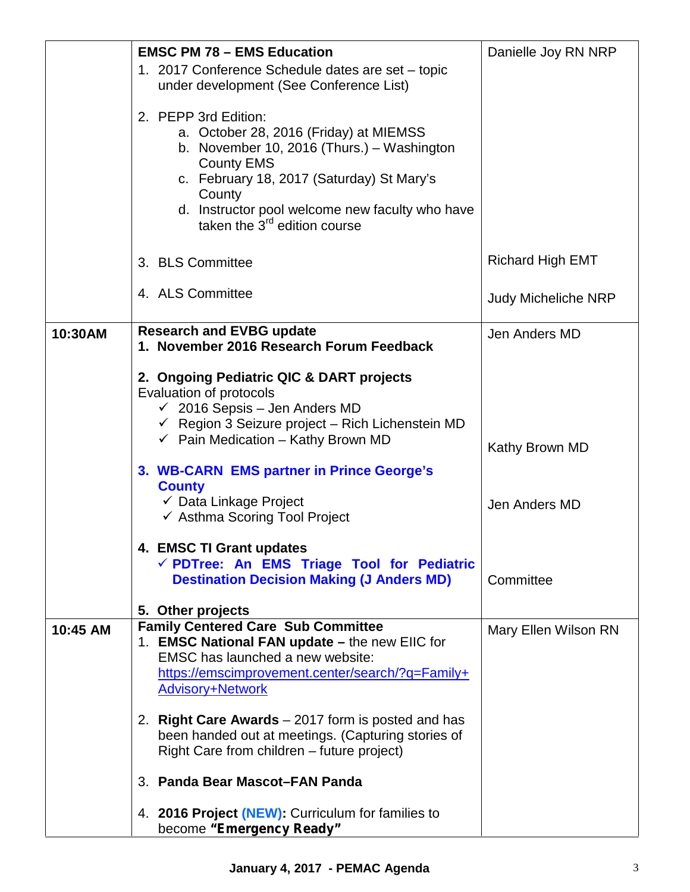|          | <b>EMSC PM 78 - EMS Education</b>                                                                                                                                                                                                                                                       | Danielle Joy RN NRP        |
|----------|-----------------------------------------------------------------------------------------------------------------------------------------------------------------------------------------------------------------------------------------------------------------------------------------|----------------------------|
|          | 1. 2017 Conference Schedule dates are set - topic<br>under development (See Conference List)                                                                                                                                                                                            |                            |
|          | 2. PEPP 3rd Edition:<br>a. October 28, 2016 (Friday) at MIEMSS<br>b. November 10, 2016 (Thurs.) - Washington<br><b>County EMS</b><br>c. February 18, 2017 (Saturday) St Mary's<br>County<br>d. Instructor pool welcome new faculty who have<br>taken the 3 <sup>rd</sup> edition course |                            |
|          | 3. BLS Committee                                                                                                                                                                                                                                                                        | <b>Richard High EMT</b>    |
|          | 4. ALS Committee                                                                                                                                                                                                                                                                        | <b>Judy Micheliche NRP</b> |
| 10:30AM  | <b>Research and EVBG update</b><br>1. November 2016 Research Forum Feedback                                                                                                                                                                                                             | Jen Anders MD              |
|          | 2. Ongoing Pediatric QIC & DART projects<br>Evaluation of protocols<br>$\checkmark$ 2016 Sepsis - Jen Anders MD<br>$\checkmark$ Region 3 Seizure project - Rich Lichenstein MD<br>$\checkmark$ Pain Medication - Kathy Brown MD<br>3. WB-CARN EMS partner in Prince George's            | Kathy Brown MD             |
|          | <b>County</b><br>✓ Data Linkage Project<br>← Asthma Scoring Tool Project                                                                                                                                                                                                                | Jen Anders MD              |
|          | 4. EMSC TI Grant updates<br>√ PDTree: An EMS Triage Tool for Pediatric<br><b>Destination Decision Making (J Anders MD)</b>                                                                                                                                                              | Committee                  |
| 10:45 AM | 5. Other projects<br><b>Family Centered Care Sub Committee</b><br>1. EMSC National FAN update - the new EIIC for<br>EMSC has launched a new website:<br>https://emscimprovement.center/search/?q=Family+<br><b>Advisory+Network</b>                                                     | Mary Ellen Wilson RN       |
|          | 2. Right Care Awards $-2017$ form is posted and has<br>been handed out at meetings. (Capturing stories of<br>Right Care from children – future project)                                                                                                                                 |                            |
|          | 3. Panda Bear Mascot-FAN Panda                                                                                                                                                                                                                                                          |                            |
|          | 4. 2016 Project (NEW): Curriculum for families to<br>become "Emergency Ready"                                                                                                                                                                                                           |                            |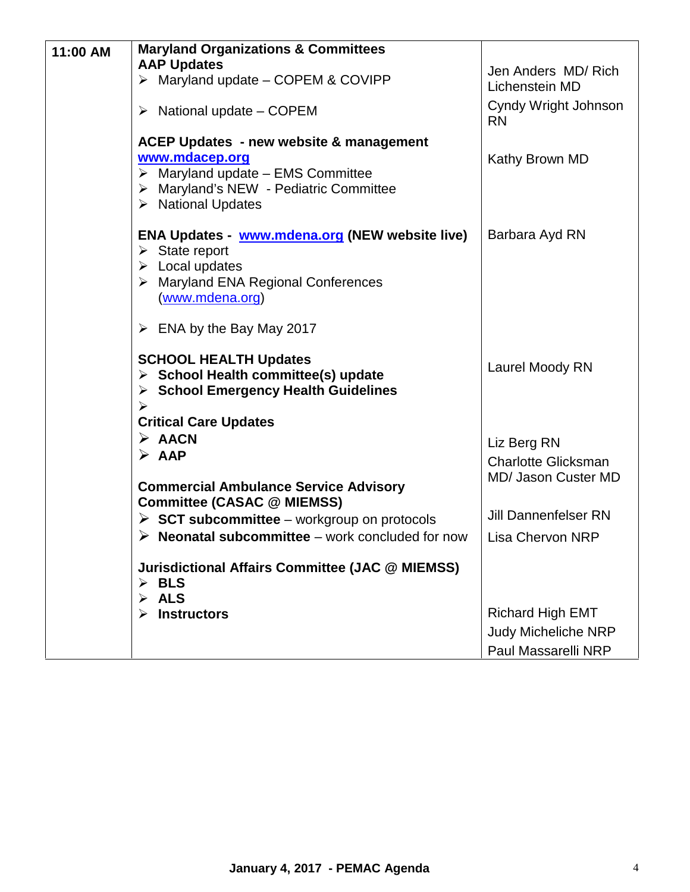| 11:00 AM | <b>Maryland Organizations &amp; Committees</b>                                                                                                                                                          |                                   |
|----------|---------------------------------------------------------------------------------------------------------------------------------------------------------------------------------------------------------|-----------------------------------|
|          | <b>AAP Updates</b>                                                                                                                                                                                      | Jen Anders MD/Rich                |
|          | Maryland update - COPEM & COVIPP<br>➤                                                                                                                                                                   | Lichenstein MD                    |
|          | $\triangleright$ National update – COPEM                                                                                                                                                                | Cyndy Wright Johnson<br><b>RN</b> |
|          | <b>ACEP Updates - new website &amp; management</b><br>www.mdacep.org<br>$\triangleright$ Maryland update - EMS Committee<br>> Maryland's NEW - Pediatric Committee<br>$\triangleright$ National Updates | Kathy Brown MD                    |
|          | ENA Updates - www.mdena.org (NEW website live)<br>$\triangleright$ State report<br>$\triangleright$ Local updates<br>> Maryland ENA Regional Conferences<br>(www.mdena.org)                             | Barbara Ayd RN                    |
|          | $\triangleright$ ENA by the Bay May 2017                                                                                                                                                                |                                   |
|          | <b>SCHOOL HEALTH Updates</b><br>$\triangleright$ School Health committee(s) update<br><b>School Emergency Health Guidelines</b><br>➤<br>➤                                                               | Laurel Moody RN                   |
|          | <b>Critical Care Updates</b>                                                                                                                                                                            |                                   |
|          | $\triangleright$ AACN                                                                                                                                                                                   | Liz Berg RN                       |
|          | $\triangleright$ AAP                                                                                                                                                                                    | <b>Charlotte Glicksman</b>        |
|          | <b>Commercial Ambulance Service Advisory</b><br><b>Committee (CASAC @ MIEMSS)</b>                                                                                                                       | MD/ Jason Custer MD               |
|          | $\triangleright$ SCT subcommittee – workgroup on protocols                                                                                                                                              | <b>Jill Dannenfelser RN</b>       |
|          | <b>Neonatal subcommittee</b> – work concluded for now<br>➤                                                                                                                                              | <b>Lisa Chervon NRP</b>           |
|          | <b>Jurisdictional Affairs Committee (JAC @ MIEMSS)</b><br>$\triangleright$ BLS<br>$\triangleright$ ALS                                                                                                  |                                   |
|          | <b>Instructors</b>                                                                                                                                                                                      | <b>Richard High EMT</b>           |
|          |                                                                                                                                                                                                         | <b>Judy Micheliche NRP</b>        |
|          |                                                                                                                                                                                                         | Paul Massarelli NRP               |